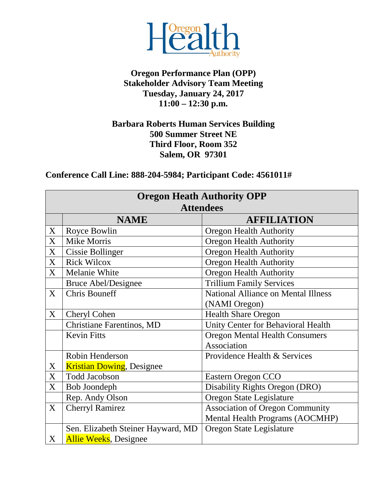

## **Oregon Performance Plan (OPP) Stakeholder Advisory Team Meeting Tuesday, January 24, 2017 11:00 – 12:30 p.m.**

## **Barbara Roberts Human Services Building 500 Summer Street NE Third Floor, Room 352 Salem, OR 97301**

**Conference Call Line: 888-204-5984; Participant Code: 4561011#**

|   | <b>Oregon Heath Authority OPP</b>  |                                            |  |  |
|---|------------------------------------|--------------------------------------------|--|--|
|   | <b>Attendees</b>                   |                                            |  |  |
|   | <b>NAME</b>                        | <b>AFFILIATION</b>                         |  |  |
| X | Royce Bowlin                       | <b>Oregon Health Authority</b>             |  |  |
| X | <b>Mike Morris</b>                 | <b>Oregon Health Authority</b>             |  |  |
| X | <b>Cissie Bollinger</b>            | <b>Oregon Health Authority</b>             |  |  |
| X | <b>Rick Wilcox</b>                 | <b>Oregon Health Authority</b>             |  |  |
| X | Melanie White                      | <b>Oregon Health Authority</b>             |  |  |
|   | <b>Bruce Abel/Designee</b>         | <b>Trillium Family Services</b>            |  |  |
| X | <b>Chris Bouneff</b>               | <b>National Alliance on Mental Illness</b> |  |  |
|   |                                    | (NAMI Oregon)                              |  |  |
| X | Cheryl Cohen                       | <b>Health Share Oregon</b>                 |  |  |
|   | <b>Christiane Farentinos, MD</b>   | Unity Center for Behavioral Health         |  |  |
|   | <b>Kevin Fitts</b>                 | <b>Oregon Mental Health Consumers</b>      |  |  |
|   |                                    | Association                                |  |  |
|   | Robin Henderson                    | Providence Health & Services               |  |  |
| X | <b>Kristian Dowing, Designee</b>   |                                            |  |  |
| X | <b>Todd Jacobson</b>               | Eastern Oregon CCO                         |  |  |
| X | Bob Joondeph                       | Disability Rights Oregon (DRO)             |  |  |
|   | Rep. Andy Olson                    | Oregon State Legislature                   |  |  |
| X | <b>Cherryl Ramirez</b>             | <b>Association of Oregon Community</b>     |  |  |
|   |                                    | Mental Health Programs (AOCMHP)            |  |  |
|   | Sen. Elizabeth Steiner Hayward, MD | Oregon State Legislature                   |  |  |
| X | <b>Allie Weeks</b> , Designee      |                                            |  |  |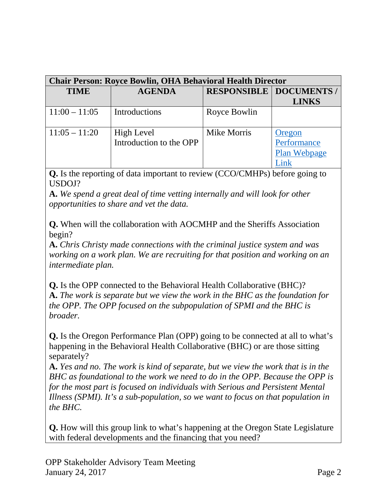| <b>Chair Person: Royce Bowlin, OHA Behavioral Health Director</b> |                                       |                    |                                                                       |
|-------------------------------------------------------------------|---------------------------------------|--------------------|-----------------------------------------------------------------------|
| <b>TIME</b>                                                       | <b>AGENDA</b>                         |                    | <b>RESPONSIBLE   DOCUMENTS /</b>                                      |
|                                                                   |                                       |                    | <b>LINKS</b>                                                          |
| $11:00 - 11:05$                                                   | Introductions                         | Royce Bowlin       |                                                                       |
| $11:05 - 11:20$                                                   | High Level<br>Introduction to the OPP | <b>Mike Morris</b> | Oregon<br>Performance<br>Plan Webpage<br>$\mathop{\rm link}\nolimits$ |

**Q.** Is the reporting of data important to review (CCO/CMHPs) before going to USDOJ?

**A.** *We spend a great deal of time vetting internally and will look for other opportunities to share and vet the data.*

**Q.** When will the collaboration with AOCMHP and the Sheriffs Association begin?

**A.** *Chris Christy made connections with the criminal justice system and was working on a work plan. We are recruiting for that position and working on an intermediate plan.*

**Q.** Is the OPP connected to the Behavioral Health Collaborative (BHC)? **A.** *The work is separate but we view the work in the BHC as the foundation for the OPP. The OPP focused on the subpopulation of SPMI and the BHC is broader.*

**Q.** Is the Oregon Performance Plan (OPP) going to be connected at all to what's happening in the Behavioral Health Collaborative (BHC) or are those sitting separately?

**A.** *Yes and no. The work is kind of separate, but we view the work that is in the BHC as foundational to the work we need to do in the OPP. Because the OPP is for the most part is focused on individuals with Serious and Persistent Mental Illness (SPMI). It's a sub-population, so we want to focus on that population in the BHC.*

**Q.** How will this group link to what's happening at the Oregon State Legislature with federal developments and the financing that you need?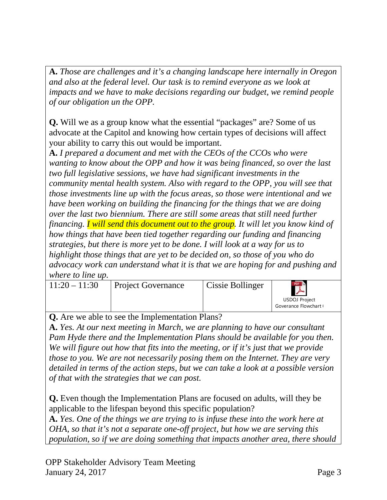**A.** *Those are challenges and it's a changing landscape here internally in Oregon and also at the federal level. Our task is to remind everyone as we look at impacts and we have to make decisions regarding our budget, we remind people of our obligation un the OPP.*

**Q.** Will we as a group know what the essential "packages" are? Some of us advocate at the Capitol and knowing how certain types of decisions will affect your ability to carry this out would be important.

**A.** *I prepared a document and met with the CEOs of the CCOs who were wanting to know about the OPP and how it was being financed, so over the last two full legislative sessions, we have had significant investments in the community mental health system. Also with regard to the OPP, you will see that those investments line up with the focus areas, so those were intentional and we have been working on building the financing for the things that we are doing over the last two biennium. There are still some areas that still need further financing. I will send this document out to the group. It will let you know kind of how things that have been tied together regarding our funding and financing strategies, but there is more yet to be done. I will look at a way for us to highlight those things that are yet to be decided on, so those of you who do advocacy work can understand what it is that we are hoping for and pushing and where to line up.*

| $11:20 - 11:30$ | <b>Project Governance</b> | Cissie Bollinger | PDF<br>$\mathbb{A}^{\prime}$           |
|-----------------|---------------------------|------------------|----------------------------------------|
|                 |                           |                  | USDOJ Project<br>Goverance Flowchart I |

**Q.** Are we able to see the Implementation Plans?

**A.** *Yes. At our next meeting in March, we are planning to have our consultant Pam Hyde there and the Implementation Plans should be available for you then. We will figure out how that fits into the meeting, or if it's just that we provide those to you. We are not necessarily posing them on the Internet. They are very detailed in terms of the action steps, but we can take a look at a possible version of that with the strategies that we can post.*

**Q.** Even though the Implementation Plans are focused on adults, will they be applicable to the lifespan beyond this specific population?

**A.** *Yes. One of the things we are trying to is infuse these into the work here at OHA, so that it's not a separate one-off project, but how we are serving this population, so if we are doing something that impacts another area, there should*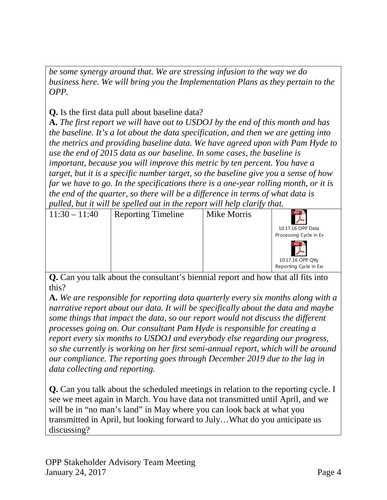*be some synergy around that. We are stressing infusion to the way we do business here. We will bring you the Implementation Plans as they pertain to the OPP.*

**Q.** Is the first data pull about baseline data?

**A.** *The first report we will have out to USDOJ by the end of this month and has the baseline. It's a lot about the data specification, and then we are getting into the metrics and providing baseline data. We have agreed upon with Pam Hyde to use the end of 2015 data as our baseline. In some cases, the baseline is important, because you will improve this metric by ten percent. You have a target, but it is a specific number target, so the baseline give you a sense of how far we have to go. In the specifications there is a one-year rolling month, or it is the end of the quarter, so there will be a difference in terms of what data is pulled, but it will be spelled out in the report will help clarify that.*

|                 |                           | $\bm{\nu}$ $\bm{\nu}$ |                                                    |
|-----------------|---------------------------|-----------------------|----------------------------------------------------|
| $11:30 - 11:40$ | <b>Reporting Timeline</b> | Mike Morris           | 10.17.16 OPP Data<br>Processing Cycle in Ex        |
|                 |                           |                       | PDF<br>10.17.16 OPP Qtly<br>Reporting Cycle in Exc |

**Q.** Can you talk about the consultant's biennial report and how that all fits into this?

**A.** *We are responsible for reporting data quarterly every six months along with a narrative report about our data. It will be specifically about the data and maybe some things that impact the data, so our report would not discuss the different processes going on. Our consultant Pam Hyde is responsible for creating a report every six months to USDOJ and everybody else regarding our progress, so she currently is working on her first semi-annual report, which will be around our compliance. The reporting goes through December 2019 due to the lag in data collecting and reporting.*

**Q.** Can you talk about the scheduled meetings in relation to the reporting cycle. I see we meet again in March. You have data not transmitted until April, and we will be in "no man's land" in May where you can look back at what you transmitted in April, but looking forward to July…What do you anticipate us discussing?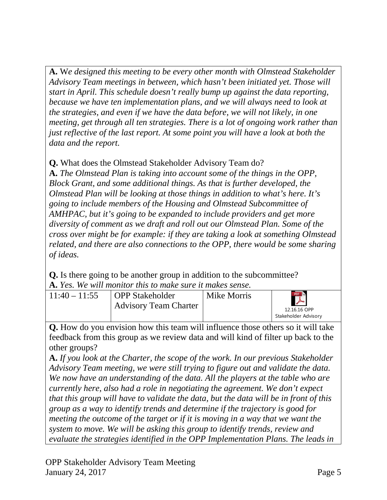**A.** W*e designed this meeting to be every other month with Olmstead Stakeholder Advisory Team meetings in between, which hasn't been initiated yet. Those will start in April. This schedule doesn't really bump up against the data reporting, because we have ten implementation plans, and we will always need to look at the strategies, and even if we have the data before, we will not likely, in one meeting, get through all ten strategies. There is a lot of ongoing work rather than just reflective of the last report. At some point you will have a look at both the data and the report.*

**Q.** What does the Olmstead Stakeholder Advisory Team do?

**A.** *The Olmstead Plan is taking into account some of the things in the OPP, Block Grant, and some additional things. As that is further developed, the Olmstead Plan will be looking at those things in addition to what's here. It's going to include members of the Housing and Olmstead Subcommittee of AMHPAC, but it's going to be expanded to include providers and get more diversity of comment as we draft and roll out our Olmstead Plan. Some of the cross over might be for example: if they are taking a look at something Olmstead related, and there are also connections to the OPP, there would be some sharing of ideas.*

**Q.** Is there going to be another group in addition to the subcommittee? **A.** *Yes. We will monitor this to make sure it makes sense.*

| $11:40 - 11:55$ | <b>OPP</b> Stakeholder<br><b>Advisory Team Charter</b> | Mike Morris | PDF.<br>12.16.16 OPP<br>Stakeholder Advisory |
|-----------------|--------------------------------------------------------|-------------|----------------------------------------------|
|-----------------|--------------------------------------------------------|-------------|----------------------------------------------|

**Q.** How do you envision how this team will influence those others so it will take feedback from this group as we review data and will kind of filter up back to the other groups?

**A.** *If you look at the Charter, the scope of the work. In our previous Stakeholder Advisory Team meeting, we were still trying to figure out and validate the data. We now have an understanding of the data. All the players at the table who are currently here, also had a role in negotiating the agreement. We don't expect that this group will have to validate the data, but the data will be in front of this group as a way to identify trends and determine if the trajectory is good for meeting the outcome of the target or if it is moving in a way that we want the system to move. We will be asking this group to identify trends, review and evaluate the strategies identified in the OPP Implementation Plans. The leads in*